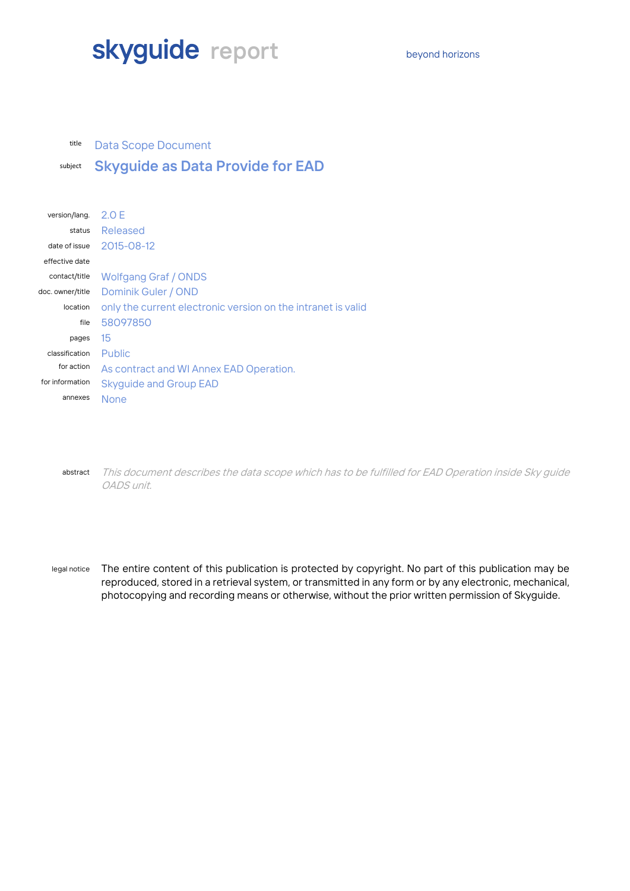# **skyguide** report beyond horizons

#### title Data Scope Document

# subject **Skyguide as Data Provide for EAD**

| version/lang.    | 2.0 F                                                        |  |
|------------------|--------------------------------------------------------------|--|
| status           | Released                                                     |  |
| date of issue    | $2015 - 08 - 12$                                             |  |
| effective date   |                                                              |  |
| contact/title    | <b>Wolfgang Graf / ONDS</b>                                  |  |
| doc. owner/title | Dominik Guler / OND                                          |  |
| location         | only the current electronic version on the intranet is valid |  |
| file             | 58097850                                                     |  |
| pages            | 15                                                           |  |
| classification   | <b>Public</b>                                                |  |
| for action       | As contract and WI Annex EAD Operation.                      |  |
| for information  | <b>Skyguide and Group EAD</b>                                |  |
| annexes          | <b>None</b>                                                  |  |
|                  |                                                              |  |

abstract This document describes the data scope which has to be fulfilled for EAD Operation inside Sky guide OADS unit.

legal notice The entire content of this publication is protected by copyright. No part of this publication may be reproduced, stored in a retrieval system, or transmitted in any form or by any electronic, mechanical, photocopying and recording means or otherwise, without the prior written permission of Skyguide.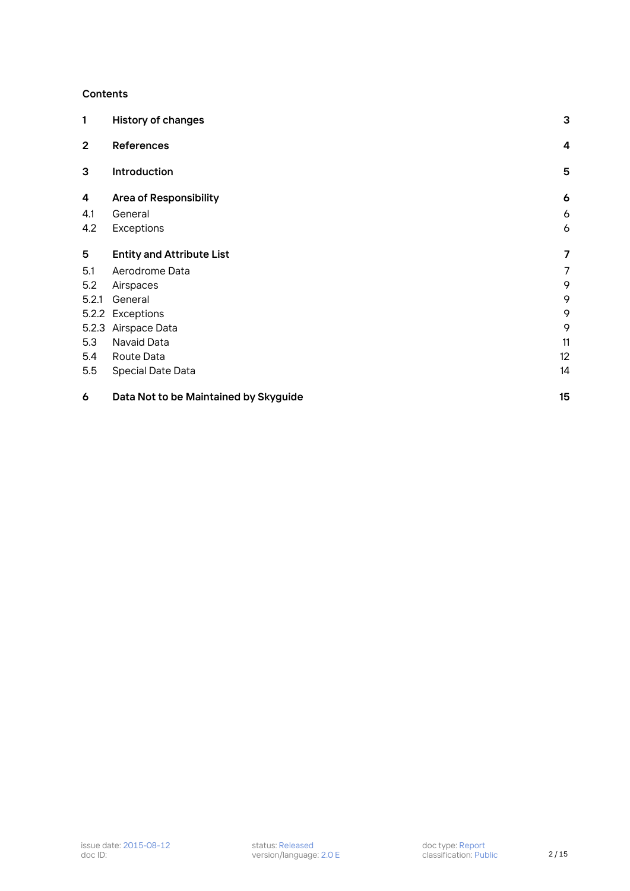#### **Contents**

| 1              | <b>History of changes</b>             | 3              |
|----------------|---------------------------------------|----------------|
| $\overline{2}$ | <b>References</b>                     | $\overline{4}$ |
| 3              | Introduction                          | 5              |
| 4              | <b>Area of Responsibility</b>         | 6              |
| 4.1            | General                               | 6              |
| 4.2            | Exceptions                            | 6              |
| 5              | <b>Entity and Attribute List</b>      | 7              |
| 5.1            | Aerodrome Data                        | 7              |
| 5.2            | Airspaces                             | 9              |
| 5.2.1          | General                               | 9              |
|                | 5.2.2 Exceptions                      | 9              |
|                | 5.2.3 Airspace Data                   | 9              |
| 5.3            | Navaid Data                           | 11             |
| 5.4            | Route Data                            | 12             |
| 5.5            | Special Date Data                     | 14             |
| 6              | Data Not to be Maintained by Skyguide | 15             |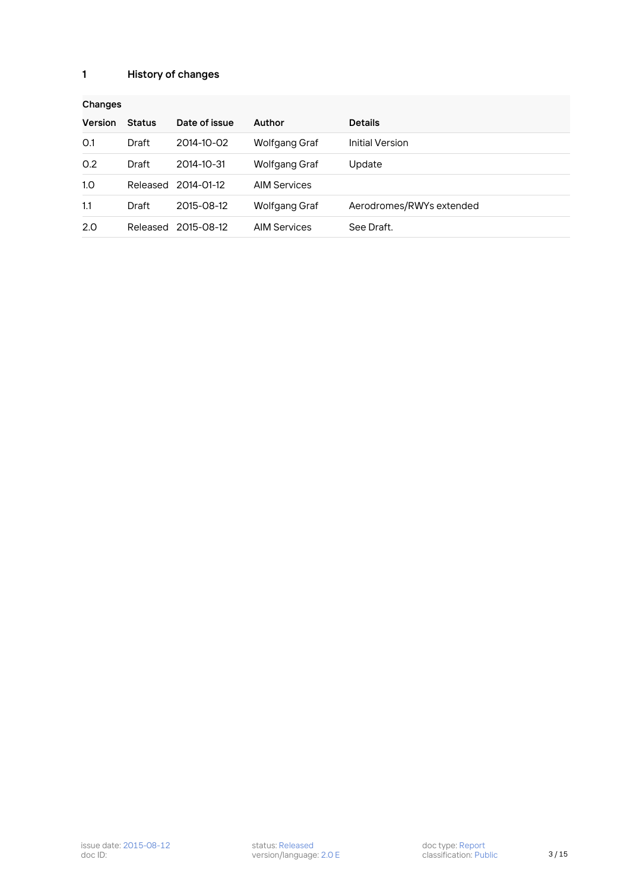## <span id="page-2-0"></span>**1 History of changes**

| Changes        |               |                     |                     |                          |  |  |  |
|----------------|---------------|---------------------|---------------------|--------------------------|--|--|--|
| <b>Version</b> | <b>Status</b> | Date of issue       | <b>Author</b>       | <b>Details</b>           |  |  |  |
| O.1            | Draft         | 2014-10-02          | Wolfgang Graf       | <b>Initial Version</b>   |  |  |  |
| 0.2            | Draft         | 2014-10-31          | Wolfgang Graf       | Update                   |  |  |  |
| 1.0            |               | Released 2014-01-12 | <b>AIM Services</b> |                          |  |  |  |
| 1.1            | Draft         | 2015-08-12          | Wolfgang Graf       | Aerodromes/RWYs extended |  |  |  |
| 2.0            | Released      | 2015-08-12          | <b>AIM Services</b> | See Draft.               |  |  |  |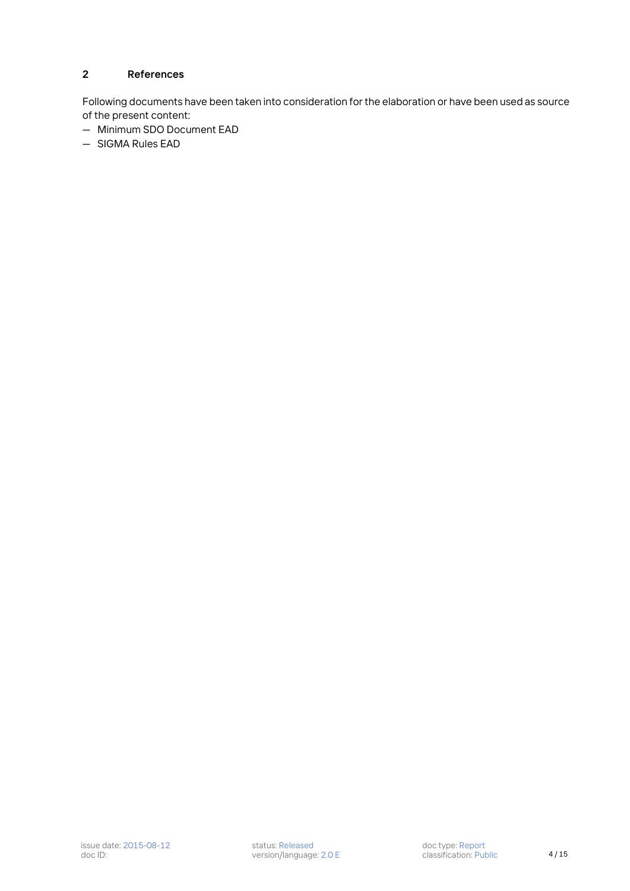### <span id="page-3-0"></span>**2 References**

Following documents have been taken into consideration for the elaboration or have been used as source of the present content:

- Minimum SDO Document EAD
- SIGMA Rules EAD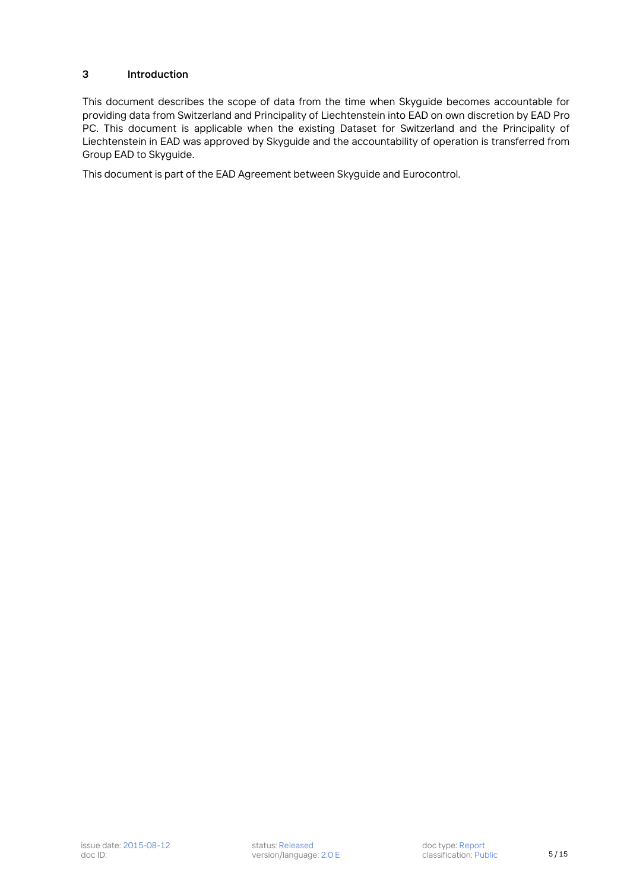#### <span id="page-4-0"></span>**3 Introduction**

This document describes the scope of data from the time when Skyguide becomes accountable for providing data from Switzerland and Principality of Liechtenstein into EAD on own discretion by EAD Pro PC. This document is applicable when the existing Dataset for Switzerland and the Principality of Liechtenstein in EAD was approved by Skyguide and the accountability of operation is transferred from Group EAD to Skyguide.

This document is part of the EAD Agreement between Skyguide and Eurocontrol.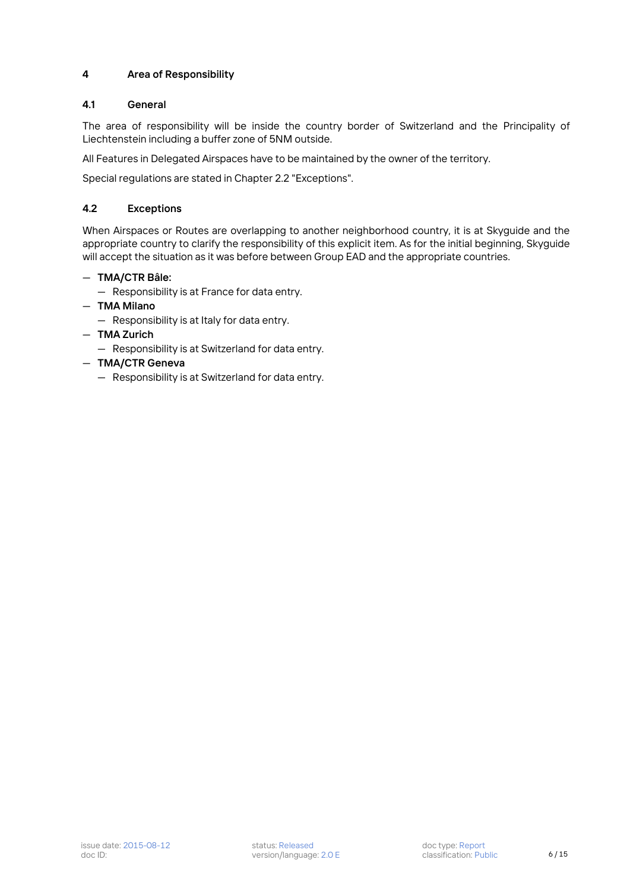#### <span id="page-5-0"></span>**4 Area of Responsibility**

#### <span id="page-5-1"></span>**4.1 General**

The area of responsibility will be inside the country border of Switzerland and the Principality of Liechtenstein including a buffer zone of 5NM outside.

All Features in Delegated Airspaces have to be maintained by the owner of the territory.

Special regulations are stated in Chapter 2.2 "Exceptions".

#### <span id="page-5-2"></span>**4.2 Exceptions**

When Airspaces or Routes are overlapping to another neighborhood country, it is at Skyguide and the appropriate country to clarify the responsibility of this explicit item. As for the initial beginning, Skyguide will accept the situation as it was before between Group EAD and the appropriate countries.

#### — **TMA/CTR Bâle:**

- Responsibility is at France for data entry.
- **TMA Milano**
	- Responsibility is at Italy for data entry.
- **TMA Zurich**
	- Responsibility is at Switzerland for data entry.
- **TMA/CTR Geneva**
	- Responsibility is at Switzerland for data entry.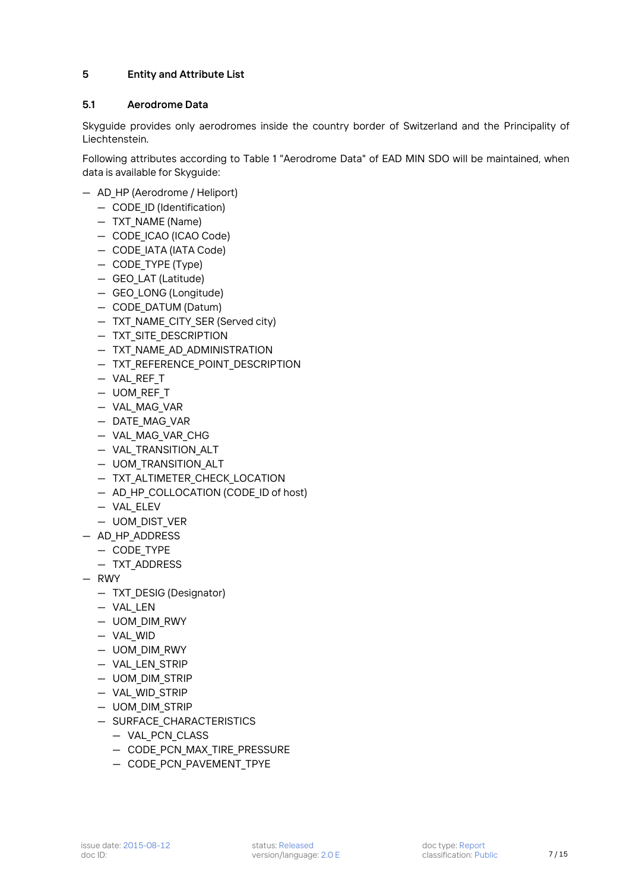#### <span id="page-6-0"></span>**5 Entity and Attribute List**

#### <span id="page-6-1"></span>**5.1 Aerodrome Data**

Skyguide provides only aerodromes inside the country border of Switzerland and the Principality of Liechtenstein.

Following attributes according to Table 1 "Aerodrome Data" of EAD MIN SDO will be maintained, when data is available for Skyguide:

- AD\_HP (Aerodrome / Heliport)
	- CODE\_ID (Identification)
	- TXT\_NAME (Name)
	- CODE ICAO (ICAO Code)
	- CODE\_IATA (IATA Code)
	- CODE\_TYPE (Type)
	- GEO\_LAT (Latitude)
	- GEO\_LONG (Longitude)
	- CODE\_DATUM (Datum)
	- TXT\_NAME\_CITY\_SER (Served city)
	- TXT\_SITE\_DESCRIPTION
	- TXT\_NAME\_AD\_ADMINISTRATION
	- TXT\_REFERENCE\_POINT\_DESCRIPTION
	- VAL\_REF\_T
	- UOM\_REF\_T
	- VAL\_MAG\_VAR
	- DATE\_MAG\_VAR
	- VAL\_MAG\_VAR\_CHG
	- VAL\_TRANSITION\_ALT
	- UOM\_TRANSITION\_ALT
	- TXT\_ALTIMETER\_CHECK\_LOCATION
	- AD\_HP\_COLLOCATION (CODE\_ID of host)
	- VAL\_ELEV
	- UOM\_DIST\_VER
- AD\_HP\_ADDRESS
	- CODE\_TYPE
	- TXT\_ADDRESS
- RWY
	- TXT\_DESIG (Designator)
	- VAL\_LEN
	- UOM\_DIM\_RWY
	- VAL\_WID
	- UOM\_DIM\_RWY
	- VAL\_LEN\_STRIP
	- UOM\_DIM\_STRIP
	- VAL\_WID\_STRIP
	- UOM\_DIM\_STRIP
	- SURFACE\_CHARACTERISTICS
		- VAL\_PCN\_CLASS
		- CODE PCN MAX TIRE PRESSURE
		- CODE PCN PAVEMENT TPYE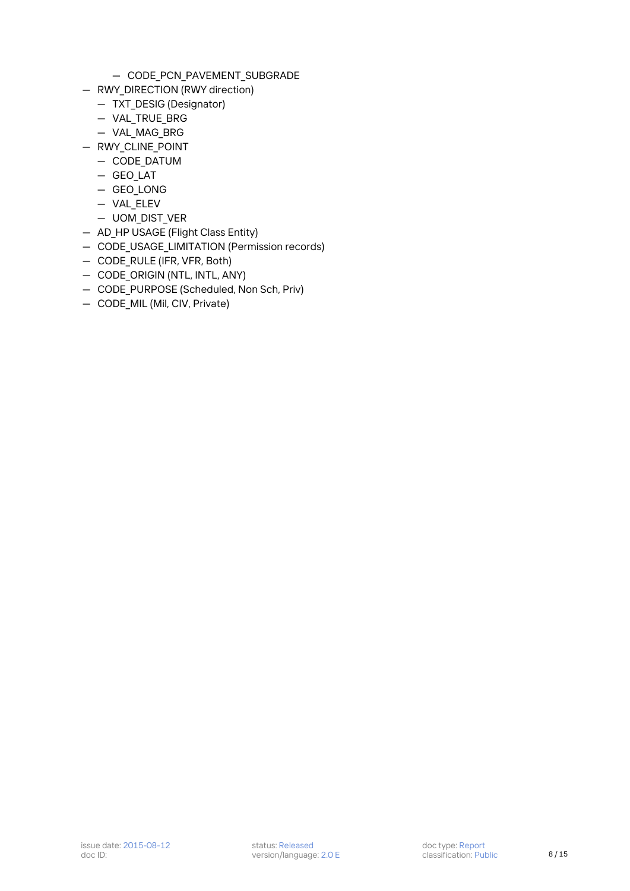- CODE\_PCN\_PAVEMENT\_SUBGRADE
- RWY DIRECTION (RWY direction)
	- TXT\_DESIG (Designator)
	- VAL\_TRUE\_BRG
	- VAL\_MAG\_BRG
- RWY\_CLINE\_POINT
	- CODE\_DATUM
	- GEO\_LAT
	- GEO\_LONG
	- VAL\_ELEV
	- UOM\_DIST\_VER
- AD\_HP USAGE (Flight Class Entity)
- CODE\_USAGE\_LIMITATION (Permission records)
- CODE\_RULE (IFR, VFR, Both)
- CODE\_ORIGIN (NTL, INTL, ANY)
- CODE PURPOSE (Scheduled, Non Sch, Priv)
- CODE\_MIL (Mil, CIV, Private)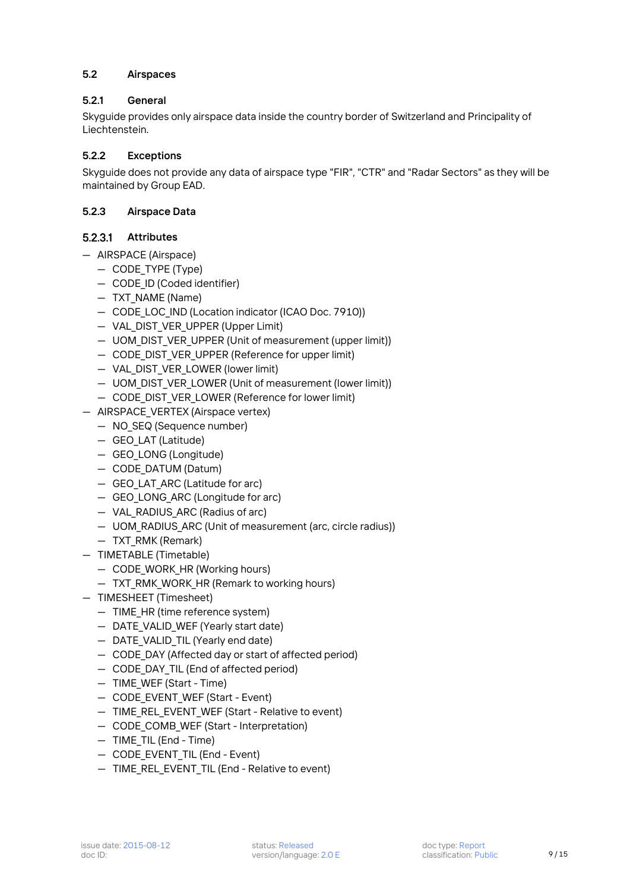#### <span id="page-8-0"></span>**5.2 Airspaces**

#### <span id="page-8-1"></span>**5.2.1 General**

Skyguide provides only airspace data inside the country border of Switzerland and Principality of Liechtenstein.

#### <span id="page-8-2"></span>**5.2.2 Exceptions**

Skyguide does not provide any data of airspace type "FIR", "CTR" and "Radar Sectors" as they will be maintained by Group EAD.

#### <span id="page-8-3"></span>**5.2.3 Airspace Data**

#### $5.2.3.1$ **Attributes**

- AIRSPACE (Airspace)
	- CODE\_TYPE (Type)
	- CODE\_ID (Coded identifier)
	- TXT\_NAME (Name)
	- CODE LOC IND (Location indicator (ICAO Doc. 7910))
	- VAL\_DIST\_VER\_UPPER (Upper Limit)
	- UOM\_DIST\_VER\_UPPER (Unit of measurement (upper limit))
	- CODE DIST VER UPPER (Reference for upper limit)
	- VAL\_DIST\_VER\_LOWER (lower limit)
	- UOM DIST VER LOWER (Unit of measurement (lower limit))
	- CODE DIST VER LOWER (Reference for lower limit)
- AIRSPACE\_VERTEX (Airspace vertex)
	- NO\_SEQ (Sequence number)
	- GEO\_LAT (Latitude)
	- GEO\_LONG (Longitude)
	- CODE\_DATUM (Datum)
	- GEO\_LAT\_ARC (Latitude for arc)
	- GEO\_LONG\_ARC (Longitude for arc)
	- VAL RADIUS ARC (Radius of arc)
	- UOM\_RADIUS\_ARC (Unit of measurement (arc, circle radius))
	- TXT\_RMK (Remark)
- TIMETABLE (Timetable)
	- CODE WORK HR (Working hours)
	- TXT\_RMK\_WORK\_HR (Remark to working hours)
- TIMESHEET (Timesheet)
	- TIME\_HR (time reference system)
	- DATE VALID WEF (Yearly start date)
	- DATE VALID TIL (Yearly end date)
	- CODE\_DAY (Affected day or start of affected period)
	- CODE DAY TIL (End of affected period)
	- TIME\_WEF (Start Time)
	- CODE\_EVENT\_WEF (Start Event)
	- TIME REL EVENT WEF (Start Relative to event)
	- CODE\_COMB\_WEF (Start Interpretation)
	- TIME\_TIL (End Time)
	- CODE EVENT TIL (End Event)
	- TIME\_REL\_EVENT\_TIL (End Relative to event)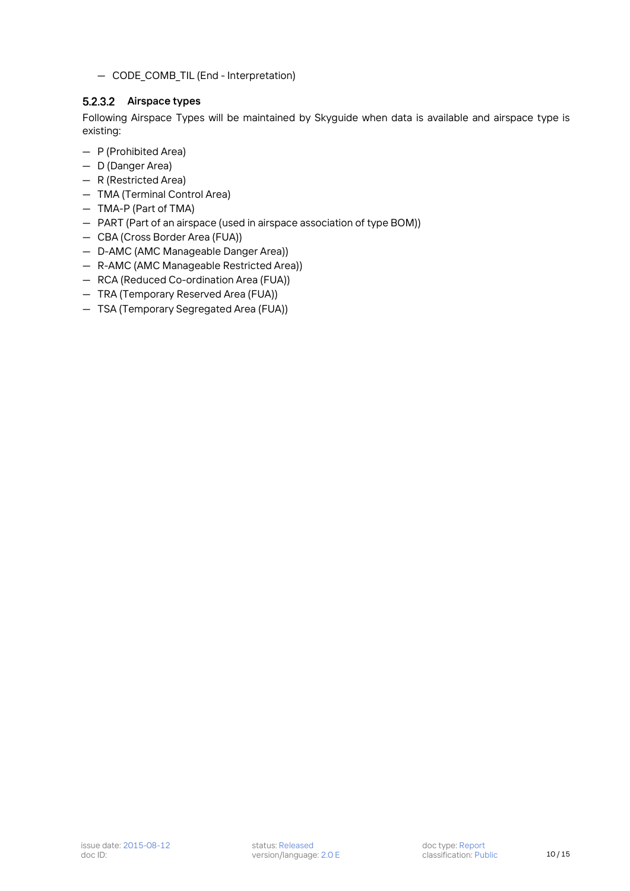— CODE\_COMB\_TIL (End - Interpretation)

### 5.2.3.2 Airspace types

Following Airspace Types will be maintained by Skyguide when data is available and airspace type is existing:

- P (Prohibited Area)
- D (Danger Area)
- R (Restricted Area)
- TMA (Terminal Control Area)
- TMA-P (Part of TMA)
- PART (Part of an airspace (used in airspace association of type BOM))
- CBA (Cross Border Area (FUA))
- D-AMC (AMC Manageable Danger Area))
- R-AMC (AMC Manageable Restricted Area))
- RCA (Reduced Co-ordination Area (FUA))
- TRA (Temporary Reserved Area (FUA))
- TSA (Temporary Segregated Area (FUA))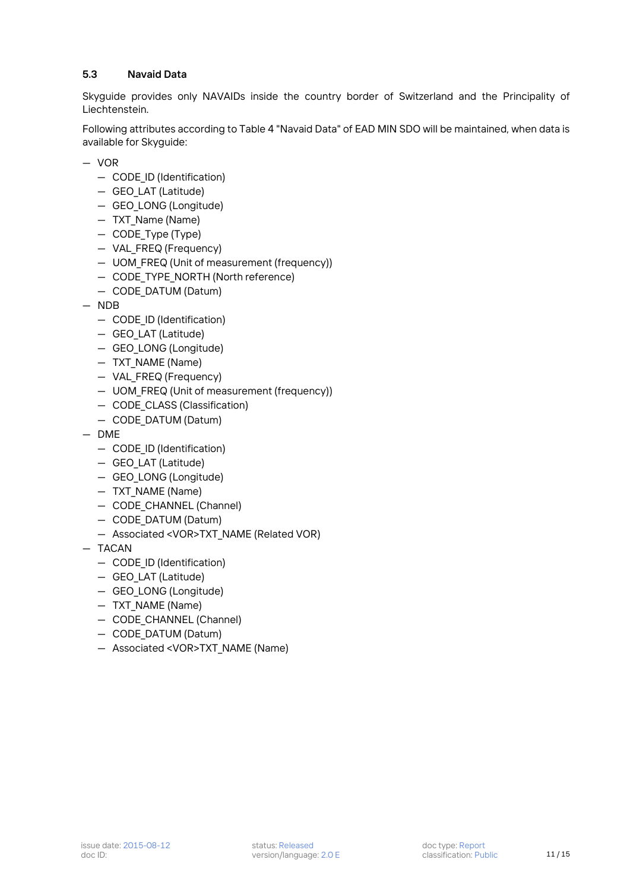#### <span id="page-10-0"></span>**5.3 Navaid Data**

Skyguide provides only NAVAIDs inside the country border of Switzerland and the Principality of Liechtenstein.

Following attributes according to Table 4 "Navaid Data" of EAD MIN SDO will be maintained, when data is available for Skyguide:

- VOR
	- CODE\_ID (Identification)
	- GEO\_LAT (Latitude)
	- GEO\_LONG (Longitude)
	- TXT\_Name (Name)
	- CODE\_Type (Type)
	- VAL\_FREQ (Frequency)
	- UOM\_FREQ (Unit of measurement (frequency))
	- CODE TYPE NORTH (North reference)
	- CODE\_DATUM (Datum)
- NDB
	- CODE\_ID (Identification)
	- GEO\_LAT (Latitude)
	- GEO\_LONG (Longitude)
	- TXT\_NAME (Name)
	- VAL\_FREQ (Frequency)
	- UOM\_FREQ (Unit of measurement (frequency))
	- CODE\_CLASS (Classification)
	- CODE\_DATUM (Datum)
- DME
	- CODE\_ID (Identification)
	- GEO\_LAT (Latitude)
	- GEO\_LONG (Longitude)
	- TXT\_NAME (Name)
	- CODE CHANNEL (Channel)
	- CODE\_DATUM (Datum)
	- Associated <VOR>TXT\_NAME (Related VOR)
- TACAN
	- CODE\_ID (Identification)
	- GEO\_LAT (Latitude)
	- GEO\_LONG (Longitude)
	- TXT\_NAME (Name)
	- CODE\_CHANNEL (Channel)
	- CODE\_DATUM (Datum)
	- Associated <VOR>TXT\_NAME (Name)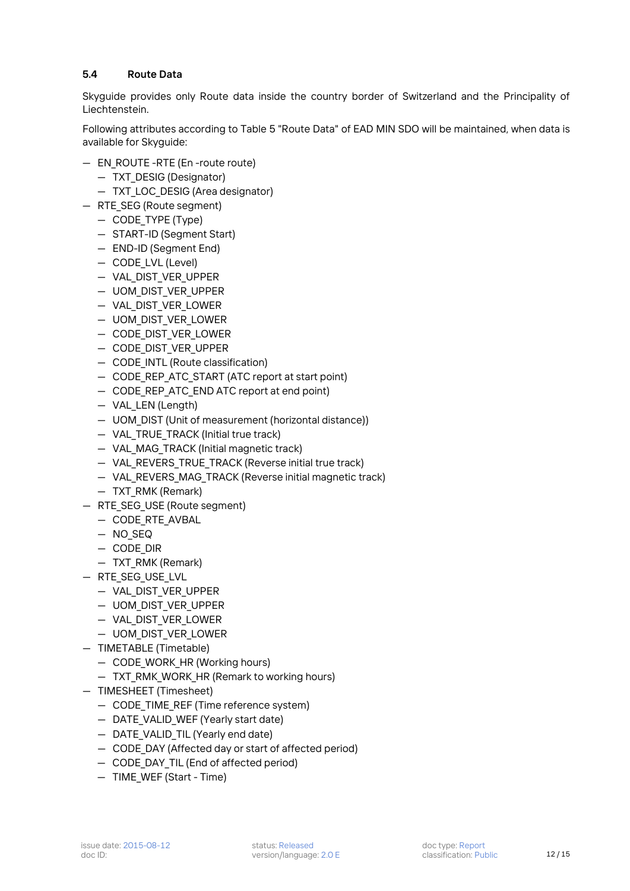#### <span id="page-11-0"></span>**5.4 Route Data**

Skyguide provides only Route data inside the country border of Switzerland and the Principality of Liechtenstein.

Following attributes according to Table 5 "Route Data" of EAD MIN SDO will be maintained, when data is available for Skyguide:

- EN\_ROUTE -RTE (En -route route)
	- TXT\_DESIG (Designator)
	- TXT LOC DESIG (Area designator)
- RTE\_SEG (Route segment)
	- CODE\_TYPE (Type)
	- START-ID (Segment Start)
	- END-ID (Segment End)
	- CODE LVL (Level)
	- VAL\_DIST\_VER\_UPPER
	- UOM\_DIST\_VER\_UPPER
	- VAL\_DIST\_VER\_LOWER
	- UOM\_DIST\_VER\_LOWER
	- CODE\_DIST\_VER\_LOWER
	- CODE\_DIST\_VER\_UPPER
	- CODE INTL (Route classification)
	- CODE REP ATC START (ATC report at start point)
	- CODE REP ATC END ATC report at end point)
	- VAL\_LEN (Length)
	- UOM\_DIST (Unit of measurement (horizontal distance))
	- VAL TRUE TRACK (Initial true track)
	- VAL\_MAG\_TRACK (Initial magnetic track)
	- VAL REVERS TRUE TRACK (Reverse initial true track)
	- VAL REVERS MAG TRACK (Reverse initial magnetic track)
	- TXT RMK (Remark)
- RTE\_SEG\_USE (Route segment)
	- CODE\_RTE\_AVBAL
	- NO\_SEQ
	- CODE\_DIR
	- TXT\_RMK (Remark)
- RTE\_SEG\_USE\_LVL
	- VAL\_DIST\_VER\_UPPER
	- UOM\_DIST\_VER\_UPPER
	- VAL\_DIST\_VER\_LOWER
	- UOM\_DIST\_VER\_LOWER
- TIMETABLE (Timetable)
	- CODE WORK HR (Working hours)
	- TXT RMK WORK HR (Remark to working hours)
- TIMESHEET (Timesheet)
	- CODE TIME REF (Time reference system)
	- DATE VALID WEF (Yearly start date)
	- DATE VALID TIL (Yearly end date)
	- CODE\_DAY (Affected day or start of affected period)
	- CODE DAY TIL (End of affected period)
	- TIME\_WEF (Start Time)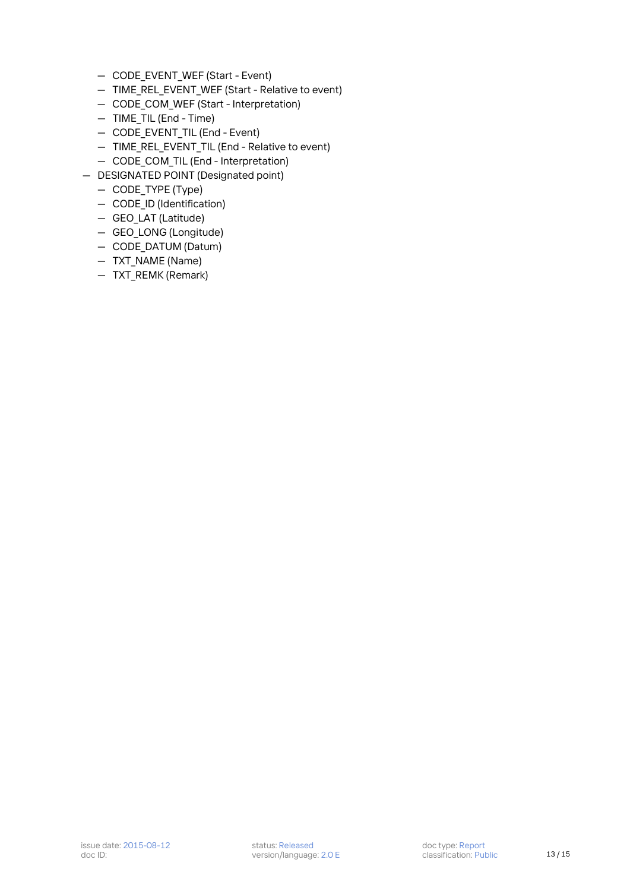- CODE\_EVENT\_WEF (Start Event)
- TIME\_REL\_EVENT\_WEF (Start Relative to event)
- CODE\_COM\_WEF (Start Interpretation)
- TIME\_TIL (End Time)
- CODE\_EVENT\_TIL (End Event)
- TIME REL EVENT TIL (End Relative to event)
- CODE\_COM\_TIL (End Interpretation)
- DESIGNATED POINT (Designated point)
	- CODE\_TYPE (Type)
	- CODE\_ID (Identification)
	- GEO\_LAT (Latitude)
	- GEO\_LONG (Longitude)
	- CODE\_DATUM (Datum)
	- TXT\_NAME (Name)
	- TXT\_REMK (Remark)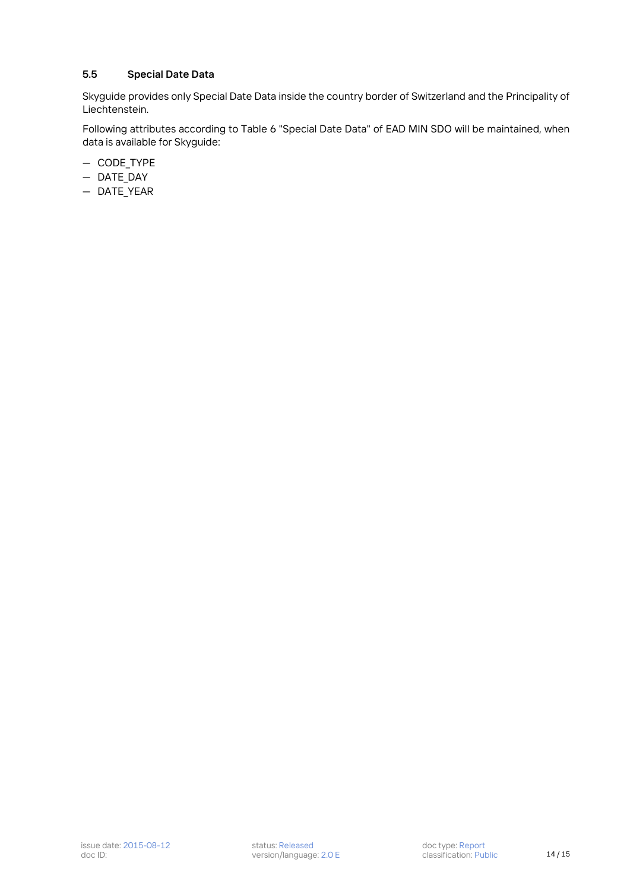#### <span id="page-13-0"></span>**5.5 Special Date Data**

Skyguide provides only Special Date Data inside the country border of Switzerland and the Principality of Liechtenstein.

Following attributes according to Table 6 "Special Date Data" of EAD MIN SDO will be maintained, when data is available for Skyguide:

- CODE\_TYPE
- DATE\_DAY
- DATE\_YEAR